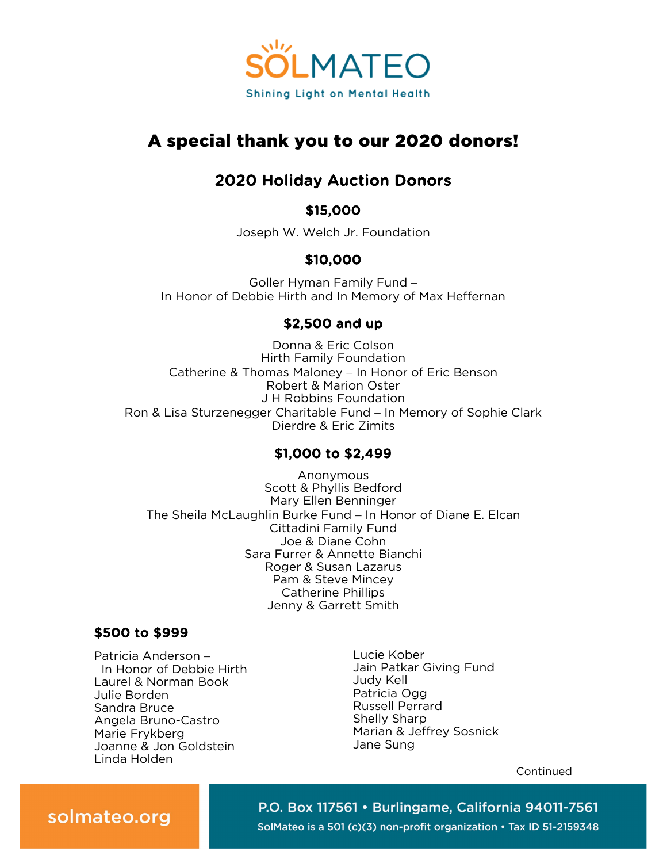

# A special thank you to our 2020 donors!

# 2020 Holiday Auction Donors

## \$15,000

Joseph W. Welch Jr. Foundation

## \$10,000

Goller Hyman Family Fund − In Honor of Debbie Hirth and In Memory of Max Heffernan

## \$2,500 and up

Donna & Eric Colson Hirth Family Foundation Catherine & Thomas Maloney − In Honor of Eric Benson Robert & Marion Oster J H Robbins Foundation Ron & Lisa Sturzenegger Charitable Fund – In Memory of Sophie Clark Dierdre & Eric Zimits

## \$1,000 to \$2,499

Anonymous Scott & Phyllis Bedford Mary Ellen Benninger The Sheila McLaughlin Burke Fund − In Honor of Diane E. Elcan Cittadini Family Fund Joe & Diane Cohn Sara Furrer & Annette Bianchi Roger & Susan Lazarus Pam & Steve Mincey Catherine Phillips Jenny & Garrett Smith

## \$500 to \$999

Patricia Anderson − In Honor of Debbie Hirth Laurel & Norman Book Julie Borden Sandra Bruce Angela Bruno-Castro Marie Frykberg Joanne & Jon Goldstein Linda Holden

Lucie Kober Jain Patkar Giving Fund Judy Kell Patricia Ogg Russell Perrard Shelly Sharp Marian & Jeffrey Sosnick Jane Sung

Continued

P.O. Box 117561 · Burlingame, California 94011-7561 SolMateo is a 501 (c)(3) non-profit organization • Tax ID 51-2159348

# solmateo.org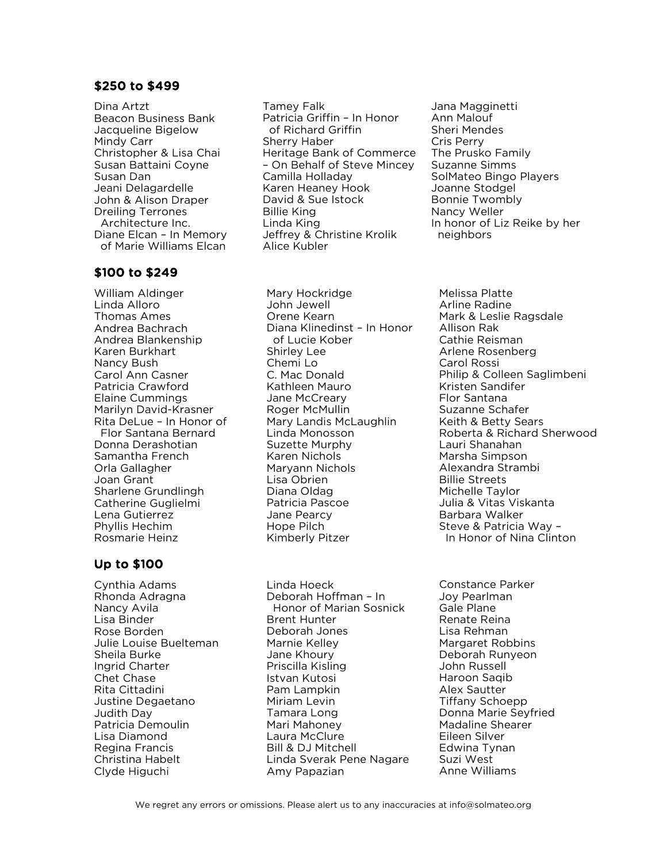#### \$250 to \$499

Dina Artzt Beacon Business Bank Jacqueline Bigelow Mindy Carr Christopher & Lisa Chai Susan Battaini Coyne Susan Dan Jeani Delagardelle John & Alison Draper Dreiling Terrones Architecture Inc. Diane Elcan – In Memory of Marie Williams Elcan

#### \$100 to \$249

William Aldinger Linda Alloro Thomas Ames Andrea Bachrach Andrea Blankenship Karen Burkhart Nancy Bush Carol Ann Casner Patricia Crawford Elaine Cummings Marilyn David-Krasner Rita DeLue – In Honor of Flor Santana Bernard Donna Derashotian Samantha French Orla Gallagher Joan Grant Sharlene Grundlingh Catherine Guglielmi Lena Gutierrez Phyllis Hechim Rosmarie Heinz

### Up to \$100

Cynthia Adams Rhonda Adragna Nancy Avila Lisa Binder Rose Borden Julie Louise Buelteman Sheila Burke Ingrid Charter Chet Chase Rita Cittadini Justine Degaetano Judith Day Patricia Demoulin Lisa Diamond Regina Francis Christina Habelt Clyde Higuchi

Tamey Falk Patricia Griffin – In Honor of Richard Griffin Sherry Haber Heritage Bank of Commerce – On Behalf of Steve Mincey Camilla Holladay Karen Heaney Hook David & Sue Istock Billie King Linda King Jeffrey & Christine Krolik Alice Kubler

Jana Magginetti Ann Malouf Sheri Mendes Cris Perry The Prusko Family Suzanne Simms SolMateo Bingo Players Joanne Stodgel Bonnie Twombly Nancy Weller In honor of Liz Reike by her neighbors

Mary Hockridge John Jewell Orene Kearn Diana Klinedinst – In Honor of Lucie Kober Shirley Lee Chemi Lo C. Mac Donald Kathleen Mauro Jane McCreary Roger McMullin Mary Landis McLaughlin Linda Monosson Suzette Murphy Karen Nichols Maryann Nichols Lisa Obrien Diana Oldag Patricia Pascoe Jane Pearcy Hope Pilch Kimberly Pitzer

Linda Hoeck Deborah Hoffman – In Honor of Marian Sosnick Brent Hunter Deborah Jones Marnie Kelley Jane Khoury Priscilla Kisling Istvan Kutosi Pam Lampkin Miriam Levin Tamara Long Mari Mahoney Laura McClure Bill & DJ Mitchell Linda Sverak Pene Nagare Amy Papazian

Melissa Platte Arline Radine Mark & Leslie Ragsdale Allison Rak Cathie Reisman Arlene Rosenberg Carol Rossi Philip & Colleen Saglimbeni Kristen Sandifer Flor Santana Suzanne Schafer Keith & Betty Sears Roberta & Richard Sherwood Lauri Shanahan Marsha Simpson Alexandra Strambi Billie Streets Michelle Taylor Julia & Vitas Viskanta Barbara Walker Steve & Patricia Way – In Honor of Nina Clinton

Constance Parker Joy Pearlman Gale Plane Renate Reina Lisa Rehman Margaret Robbins Deborah Runyeon John Russell Haroon Saqib Alex Sautter Tiffany Schoepp Donna Marie Seyfried Madaline Shearer Eileen Silver Edwina Tynan Suzi West Anne Williams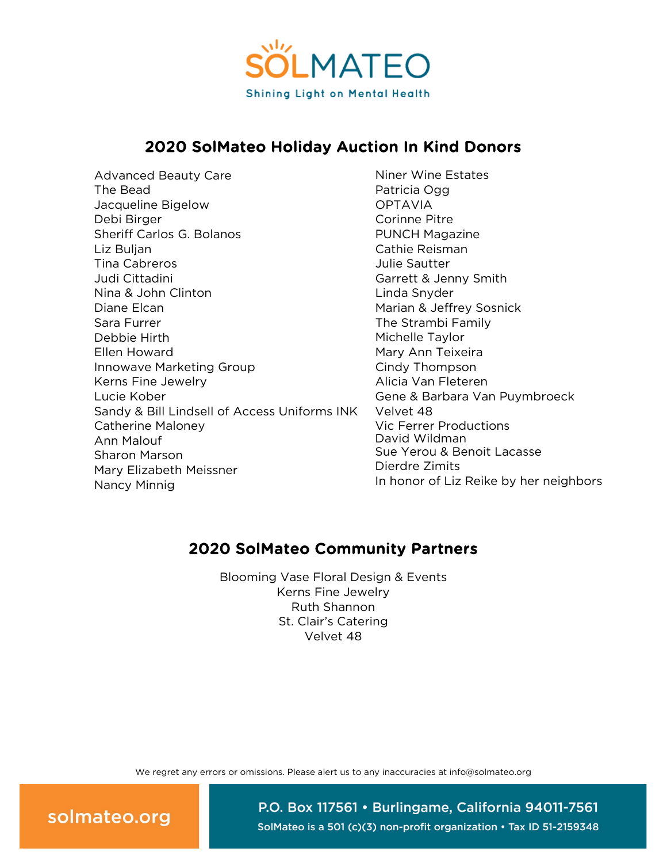

## 2020 SolMateo Holiday Auction In Kind Donors

Advanced Beauty Care The Bead Jacqueline Bigelow Debi Birger Sheriff Carlos G. Bolanos Liz Buljan Tina Cabreros Judi Cittadini Nina & John Clinton Diane Elcan Sara Furrer Debbie Hirth Ellen Howard Innowave Marketing Group Kerns Fine Jewelry Lucie Kober Sandy & Bill Lindsell of Access Uniforms INK Catherine Maloney Ann Malouf Sharon Marson Mary Elizabeth Meissner Nancy Minnig

Niner Wine Estates Patricia Ogg OPTAVIA Corinne Pitre PUNCH Magazine Cathie Reisman Julie Sautter Garrett & Jenny Smith Linda Snyder Marian & Jeffrey Sosnick The Strambi Family Michelle Taylor Mary Ann Teixeira Cindy Thompson Alicia Van Fleteren Gene & Barbara Van Puymbroeck Velvet 48 Vic Ferrer Productions David Wildman Sue Yerou & Benoit Lacasse Dierdre Zimits In honor of Liz Reike by her neighbors

## 2020 SolMateo Community Partners

Blooming Vase Floral Design & Events Kerns Fine Jewelry Ruth Shannon St. Clair's Catering Velvet 48

We regret any errors or omissions. Please alert us to any inaccuracies at info@solmateo.org